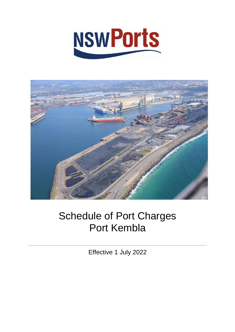



# Schedule of Port Charges Port Kembla

Effective 1 July 2022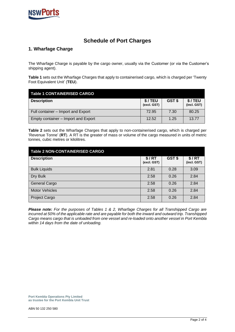

## **Schedule of Port Charges**

## **1. Wharfage Charge**

The Wharfage Charge is payable by the cargo owner, usually via the Customer (or via the Customer's shipping agent).

**Table 1** sets out the Wharfage Charges that apply to containerised cargo, which is charged per 'Twenty Foot Equivalent Unit' (**TEU**).

| <b>Table 1 CONTAINERISED CARGO</b>  |                       |        |                       |
|-------------------------------------|-----------------------|--------|-----------------------|
| <b>Description</b>                  | \$/TEU<br>(excl. GST) | GST \$ | \$/TEU<br>(incl. GST) |
| Full container - Import and Export  | 72.95                 | 7.30   | 80.25                 |
| Empty container – Import and Export | 12.52                 | 1.25   | 13.77                 |

**Table 2** sets out the Wharfage Charges that apply to non-containerised cargo, which is charged per 'Revenue Tonne' (**RT**). A RT is the greater of mass or volume of the cargo measured in units of metric tonnes, cubic metres or kilolitres.

| <b>Table 2 NON-CONTAINERISED CARGO</b> |                      |        |                      |
|----------------------------------------|----------------------|--------|----------------------|
| <b>Description</b>                     | \$/RT<br>(excl. GST) | GST \$ | \$/RT<br>(incl. GST) |
| <b>Bulk Liquids</b>                    | 2.81                 | 0.28   | 3.09                 |
| Dry Bulk                               | 2.58                 | 0.26   | 2.84                 |
| <b>General Cargo</b>                   | 2.58                 | 0.26   | 2.84                 |
| <b>Motor Vehicles</b>                  | 2.58                 | 0.26   | 2.84                 |
| Project Cargo                          | 2.58                 | 0.26   | 2.84                 |

*Please note: For the purposes of Tables 1 & 2, Wharfage Charges for all Transhipped Cargo are*  incurred at 50% of the applicable rate and are payable for both the inward and outward trip. Transhipped *Cargo means cargo that is unloaded from one vessel and re-loaded onto another vessel in Port Kembla within 14 days from the date of unloading.*

**Port Kembla Operations Pty Limited as trustee for the Port Kembla Unit Trust**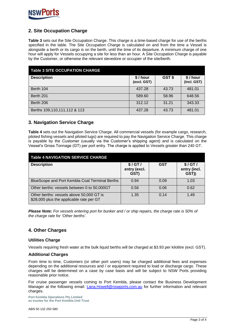

## **2. Site Occupation Charge**

**Table 3** sets out the Site Occupation Charge. This charge is a time-based charge for use of the berths specified in the table. The Site Occupation Charge is calculated on and from the time a Vessel is alongside a berth or its cargo is on the berth, until the time of its departure. A minimum charge of one hour will apply for Vessels occupying a site for less than an hour. A Site Occupation Charge is payable by the Customer, or otherwise the relevant stevedore or occupier of the site/berth.

| <b>Table 3 SITE OCCUPATION CHARGE</b> |                        |       |                        |
|---------------------------------------|------------------------|-------|------------------------|
| <b>Description</b>                    | \$/hour<br>(excl. GST) | GST\$ | \$/hour<br>(incl. GST) |
| Berth 104                             | 437.28                 | 43.73 | 481.01                 |
| Berth 201                             | 589.60                 | 58.96 | 648.56                 |
| Berth 206                             | 312.12                 | 31.21 | 343.33                 |
| Berths 109,110,111,112 & 113          | 437.28                 | 43.73 | 481.01                 |

#### **3. Navigation Service Charge**

**Table 4** sets out the Navigation Service Charge. All commercial vessels (for example cargo, research, piloted fishing vessels and piloted tugs) are required to pay the Navigation Service Charge. This charge is payable by the Customer (usually via the Customer's shipping agent) and is calculated on the Vessel's Gross Tonnage (GT) per port entry. The charge is applied to Vessels greater than 240 GT.

| <b>Table 4 NAVIGATION SERVICE CHARGE</b>                                             |                                |            |                                 |
|--------------------------------------------------------------------------------------|--------------------------------|------------|---------------------------------|
| <b>Description</b>                                                                   | \$/GT/<br>entry (excl.<br>GST) | <b>GST</b> | \$/GT/<br>entry (incl.<br>GST)) |
| BlueScope and Port Kembla Coal Terminal Berths                                       | 0.94                           | 0.09       | 1.03                            |
| Other berths: vessels between 0 to 50,000GT                                          | 0.56                           | 0.06       | 0.62                            |
| Other berths: vessels above 50,000 GT is<br>\$28,000 plus the applicable rate per GT | 1.35                           | 0.14       | 1.49                            |

*Please Note: For vessels entering port for bunker and / or ship repairs, the charge rate is 50% of the charge rate for 'Other berths'.*

#### **4. Other Charges**

#### **Utilities Charge**

Vessels requiring fresh water at the bulk liquid berths will be charged at \$3.93 per kilolitre (excl. GST).

#### **Additional Charges**

From time to time, Customers (or other port users) may be charged additional fees and expenses depending on the additional resources and / or equipment required to load or discharge cargo. These charges will be determined on a case by case basis and will be subject to NSW Ports providing reasonable prior notice.

For cruise passenger vessels coming to Port Kembla, please contact the Business Development Manager at the following email: [Lana.Howell@nswports.com.au](mailto:Lana.Howell@NSWPorts.com.au) for further information and relevant charges.

**Port Kembla Operations Pty Limited as trustee for the Port Kembla Unit Trust**

ABN 50 132 250 580